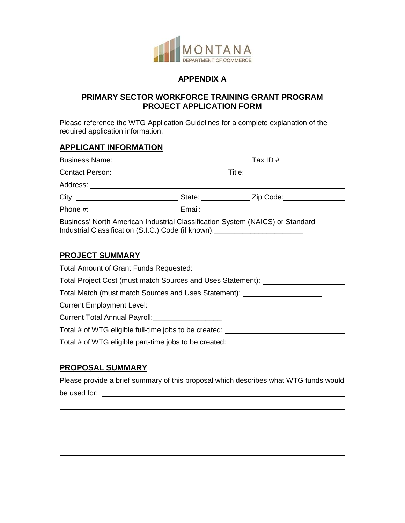

## **APPENDIX A**

#### **PRIMARY SECTOR WORKFORCE TRAINING GRANT PROGRAM PROJECT APPLICATION FORM**

Please reference the WTG Application Guidelines for a complete explanation of the required application information.

### **APPLICANT INFORMATION**

|                                                                                                                                                                   |                               | Tax ID # $\qquad \qquad$           |  |  |
|-------------------------------------------------------------------------------------------------------------------------------------------------------------------|-------------------------------|------------------------------------|--|--|
|                                                                                                                                                                   | Title: ______________________ |                                    |  |  |
|                                                                                                                                                                   |                               |                                    |  |  |
| City: City:                                                                                                                                                       |                               | State: <u>New Zip Code:</u>        |  |  |
|                                                                                                                                                                   |                               | Email: ___________________________ |  |  |
| Business' North American Industrial Classification System (NAICS) or Standard<br>Industrial Classification (S.I.C.) Code (if known): ____________________________ |                               |                                    |  |  |

#### **PROJECT SUMMARY**

| Total Amount of Grant Funds Requested: ____                                      |
|----------------------------------------------------------------------------------|
| Total Project Cost (must match Sources and Uses Statement):                      |
| Total Match (must match Sources and Uses Statement): ___________________________ |
| Current Employment Level:                                                        |
| Current Total Annual Payroll: _________________                                  |
| Total # of WTG eligible full-time jobs to be created:                            |
| Total # of WTG eligible part-time jobs to be created:                            |
|                                                                                  |

# **PROPOSAL SUMMARY**

 $\overline{a}$ 

 $\overline{a}$ 

 $\overline{a}$ 

 $\overline{a}$ 

Please provide a brief summary of this proposal which describes what WTG funds would be used for:  $\blacksquare$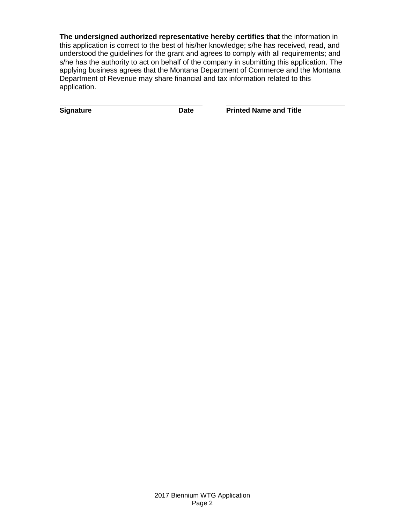**The undersigned authorized representative hereby certifies that** the information in this application is correct to the best of his/her knowledge; s/he has received, read, and understood the guidelines for the grant and agrees to comply with all requirements; and s/he has the authority to act on behalf of the company in submitting this application. The applying business agrees that the Montana Department of Commerce and the Montana Department of Revenue may share financial and tax information related to this application.

**Signature Community Community Community Community Date** Printed Name and Title